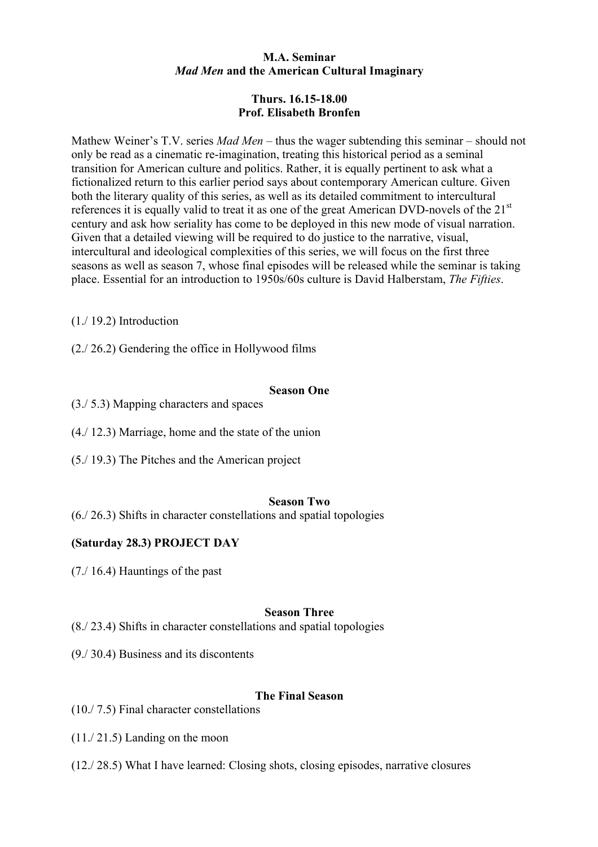### **M.A. Seminar**  *Mad Men* **and the American Cultural Imaginary**

# **Thurs. 16.15-18.00 Prof. Elisabeth Bronfen**

Mathew Weiner's T.V. series *Mad Men* – thus the wager subtending this seminar – should not only be read as a cinematic re-imagination, treating this historical period as a seminal transition for American culture and politics. Rather, it is equally pertinent to ask what a fictionalized return to this earlier period says about contemporary American culture. Given both the literary quality of this series, as well as its detailed commitment to intercultural references it is equally valid to treat it as one of the great American DVD-novels of the  $21<sup>st</sup>$ century and ask how seriality has come to be deployed in this new mode of visual narration. Given that a detailed viewing will be required to do justice to the narrative, visual, intercultural and ideological complexities of this series, we will focus on the first three seasons as well as season 7, whose final episodes will be released while the seminar is taking place. Essential for an introduction to 1950s/60s culture is David Halberstam, *The Fifties*.

(1./ 19.2) Introduction

(2./ 26.2) Gendering the office in Hollywood films

### **Season One**

- (3./ 5.3) Mapping characters and spaces
- (4./ 12.3) Marriage, home and the state of the union
- (5./ 19.3) The Pitches and the American project

### **Season Two**

(6./ 26.3) Shifts in character constellations and spatial topologies

## **(Saturday 28.3) PROJECT DAY**

(7./ 16.4) Hauntings of the past

### **Season Three**

(8./ 23.4) Shifts in character constellations and spatial topologies

(9./ 30.4) Business and its discontents

## **The Final Season**

(10./ 7.5) Final character constellations

(11./ 21.5) Landing on the moon

(12./ 28.5) What I have learned: Closing shots, closing episodes, narrative closures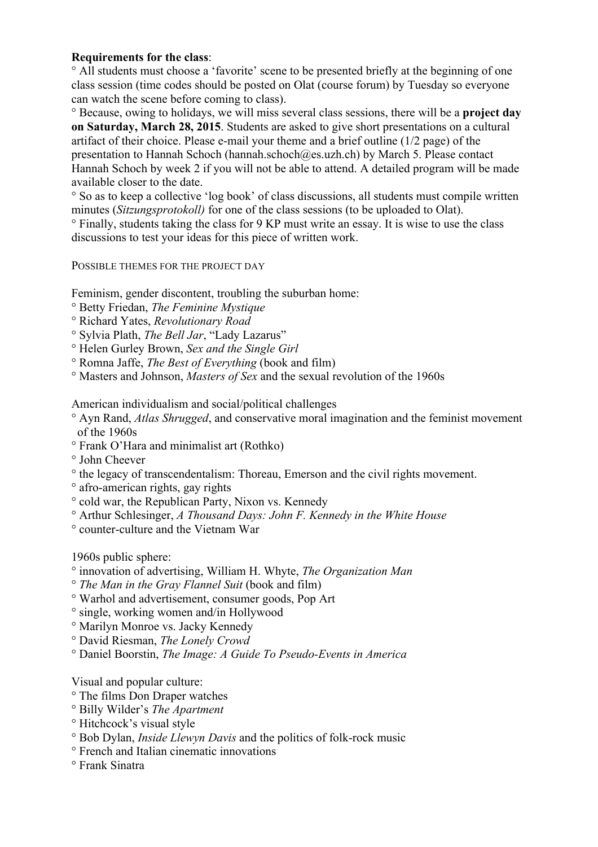### **Requirements for the class**:

° All students must choose a 'favorite' scene to be presented briefly at the beginning of one class session (time codes should be posted on Olat (course forum) by Tuesday so everyone can watch the scene before coming to class).

° Because, owing to holidays, we will miss several class sessions, there will be a **project day on Saturday, March 28, 2015**. Students are asked to give short presentations on a cultural artifact of their choice. Please e-mail your theme and a brief outline (1/2 page) of the presentation to Hannah Schoch (hannah.schoch@es.uzh.ch) by March 5. Please contact Hannah Schoch by week 2 if you will not be able to attend. A detailed program will be made available closer to the date.

° So as to keep a collective 'log book' of class discussions, all students must compile written minutes (*Sitzungsprotokoll)* for one of the class sessions (to be uploaded to Olat).

° Finally, students taking the class for 9 KP must write an essay. It is wise to use the class discussions to test your ideas for this piece of written work.

POSSIBLE THEMES FOR THE PROJECT DAY

Feminism, gender discontent, troubling the suburban home:

- ° Betty Friedan, *The Feminine Mystique*
- ° Richard Yates, *Revolutionary Road*
- ° Sylvia Plath, *The Bell Jar*, "Lady Lazarus"
- ° Helen Gurley Brown, *Sex and the Single Girl*
- ° Romna Jaffe, *The Best of Everything* (book and film)
- ° Masters and Johnson, *Masters of Sex* and the sexual revolution of the 1960s

American individualism and social/political challenges

- ° Ayn Rand, *Atlas Shrugged*, and conservative moral imagination and the feminist movement of the 1960s
- ° Frank O'Hara and minimalist art (Rothko)
- ° John Cheever
- ° the legacy of transcendentalism: Thoreau, Emerson and the civil rights movement.
- ° afro-american rights, gay rights
- ° cold war, the Republican Party, Nixon vs. Kennedy
- ° Arthur Schlesinger, *A Thousand Days: John F. Kennedy in the White House*
- ° counter-culture and the Vietnam War

1960s public sphere:

- ° innovation of advertising, William H. Whyte, *The Organization Man*
- ° *The Man in the Gray Flannel Suit* (book and film)
- ° Warhol and advertisement, consumer goods, Pop Art
- ° single, working women and/in Hollywood
- ° Marilyn Monroe vs. Jacky Kennedy
- ° David Riesman, *The Lonely Crowd*
- ° Daniel Boorstin, *The Image: A Guide To Pseudo-Events in America*

Visual and popular culture:

- ° The films Don Draper watches
- ° Billy Wilder's *The Apartment*
- ° Hitchcock's visual style
- ° Bob Dylan, *Inside Llewyn Davis* and the politics of folk-rock music
- ° French and Italian cinematic innovations
- ° Frank Sinatra